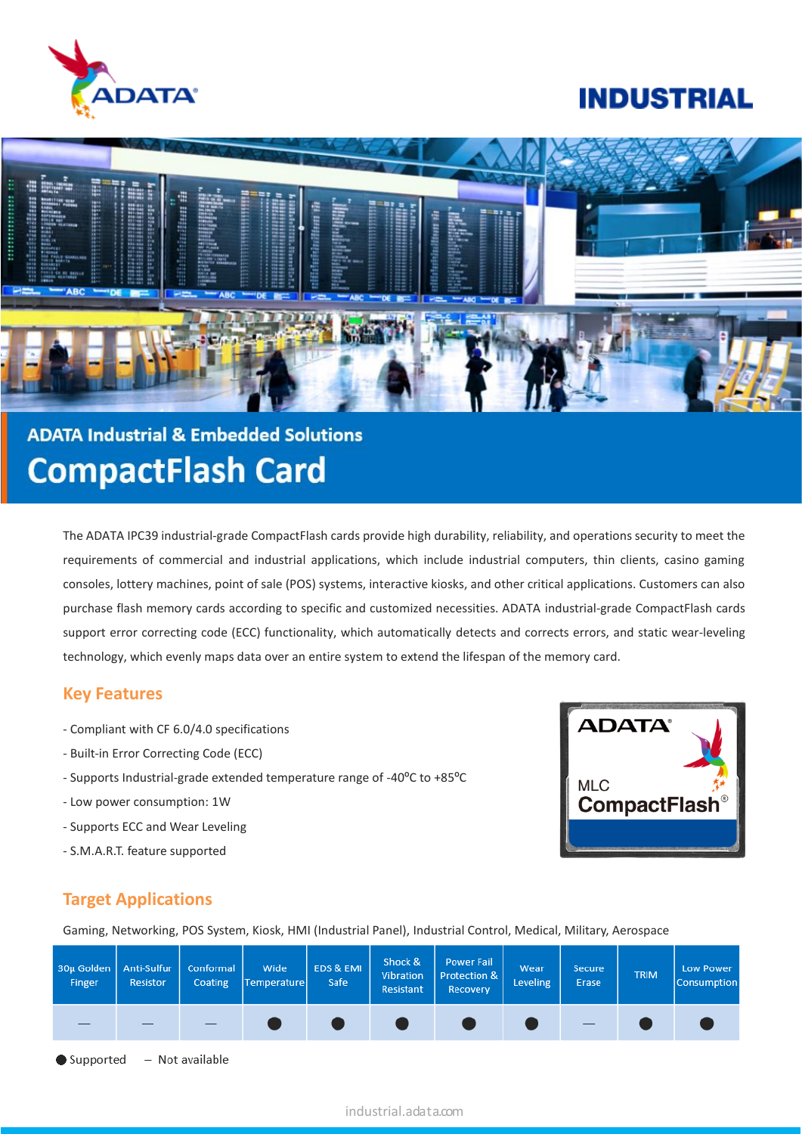

# **INDUSTRIAL**



# **ADATA Industrial & Embedded Solutions CompactFlash Card**

The ADATA IPC39 industrial-grade CompactFlash cards provide high durability, reliability, and operations security to meet the requirements of commercial and industrial applications, which include industrial computers, thin clients, casino gaming consoles, lottery machines, point of sale (POS) systems, interactive kiosks, and other critical applications. Customers can also purchase flash memory cards according to specific and customized necessities. ADATA industrial-grade CompactFlash cards support error correcting code (ECC) functionality, which automatically detects and corrects errors, and static wear-leveling technology, which evenly maps data over an entire system to extend the lifespan of the memory card.

### **Key Features**

- Compliant with CF 6.0/4.0 specifications
- Built-in Error Correcting Code (ECC)
- Supports Industrial-grade extended temperature range of -40ºC to +85ºC
- Low power consumption: 1W
- Supports ECC and Wear Leveling
- S.M.A.R.T. feature supported



## **Target Applications**

Gaming, Networking, POS System, Kiosk, HMI (Industrial Panel), Industrial Control, Medical, Military, Aerospace

| 30µ Golden   Anti-Sulfur<br>Finger | Resistor | Conformal<br>Coating | Wide<br>Temperature | EDS & EMI<br>Safe | Shock &<br>Vibration<br>Resistant | Power Fail<br>Protection &  <br>Recovery | Wear<br>Leveling | <b>Secure</b><br>Erase | <b>TRIM</b> | Low Power<br><b>Consumption</b> |
|------------------------------------|----------|----------------------|---------------------|-------------------|-----------------------------------|------------------------------------------|------------------|------------------------|-------------|---------------------------------|
|                                    |          |                      |                     |                   |                                   |                                          |                  |                        |             |                                 |

- Not available  $\bullet$  Supported

#### industrial.adata.com